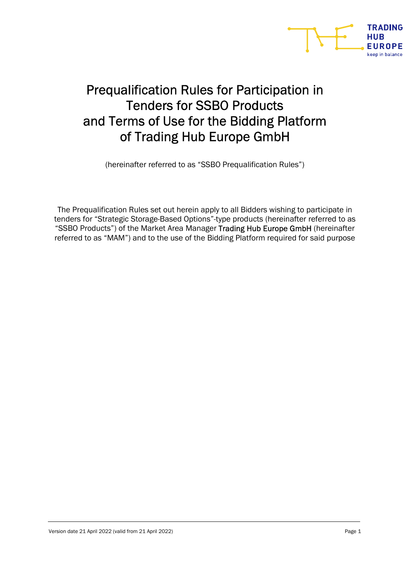

# Prequalification Rules for Participation in Tenders for SSBO Products and Terms of Use for the Bidding Platform of Trading Hub Europe GmbH

(hereinafter referred to as "SSBO Prequalification Rules")

The Prequalification Rules set out herein apply to all Bidders wishing to participate in tenders for "Strategic Storage-Based Options"-type products (hereinafter referred to as "SSBO Products") of the Market Area Manager Trading Hub Europe GmbH (hereinafter referred to as "MAM") and to the use of the Bidding Platform required for said purpose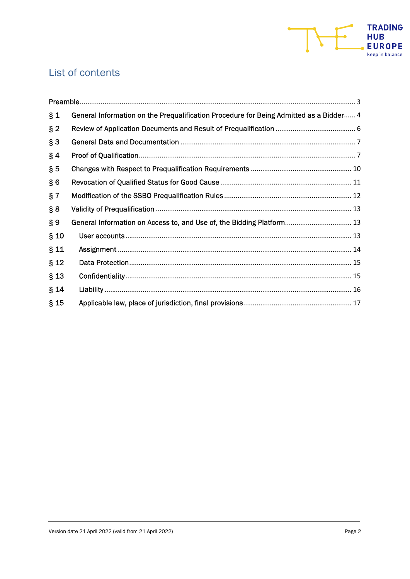

## List of contents

| $\S_1$ | General Information on the Prequalification Procedure for Being Admitted as a Bidder 4 |
|--------|----------------------------------------------------------------------------------------|
| $§$ 2  |                                                                                        |
| $§$ 3  |                                                                                        |
| $§$ 4  |                                                                                        |
| $\S5$  |                                                                                        |
| § 6    |                                                                                        |
| § 7    |                                                                                        |
| § 8    |                                                                                        |
| $\S 9$ | General Information on Access to, and Use of, the Bidding Platform 13                  |
| $§$ 10 |                                                                                        |
| § 11   |                                                                                        |
| $§$ 12 |                                                                                        |
| $§$ 13 |                                                                                        |
| § 14   |                                                                                        |
| $§$ 15 |                                                                                        |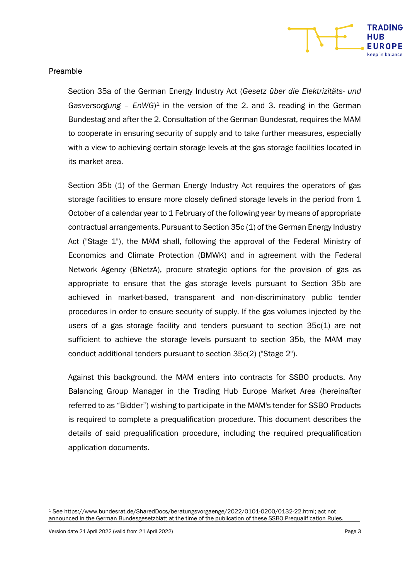

#### Preamble

Section 35a of the German Energy Industry Act (Gesetz über die Elektrizitäts- und Gasversorgung –  $EnWG$ <sup>1</sup> in the version of the 2. and 3. reading in the German Bundestag and after the 2. Consultation of the German Bundesrat, requires the MAM to cooperate in ensuring security of supply and to take further measures, especially with a view to achieving certain storage levels at the gas storage facilities located in its market area.

Section 35b (1) of the German Energy Industry Act requires the operators of gas storage facilities to ensure more closely defined storage levels in the period from 1 October of a calendar year to 1 February of the following year by means of appropriate contractual arrangements. Pursuant to Section 35c (1) of the German Energy Industry Act ("Stage 1"), the MAM shall, following the approval of the Federal Ministry of Economics and Climate Protection (BMWK) and in agreement with the Federal Network Agency (BNetzA), procure strategic options for the provision of gas as appropriate to ensure that the gas storage levels pursuant to Section 35b are achieved in market-based, transparent and non-discriminatory public tender procedures in order to ensure security of supply. If the gas volumes injected by the users of a gas storage facility and tenders pursuant to section 35c(1) are not sufficient to achieve the storage levels pursuant to section 35b, the MAM may conduct additional tenders pursuant to section 35c(2) ("Stage 2").

Against this background, the MAM enters into contracts for SSBO products. Any Balancing Group Manager in the Trading Hub Europe Market Area (hereinafter referred to as "Bidder") wishing to participate in the MAM's tender for SSBO Products is required to complete a prequalification procedure. This document describes the details of said prequalification procedure, including the required prequalification application documents.

<sup>1</sup> See https://www.bundesrat.de/SharedDocs/beratungsvorgaenge/2022/0101-0200/0132-22.html; act not announced in the German Bundesgesetzblatt at the time of the publication of these SSBO Prequalification Rules.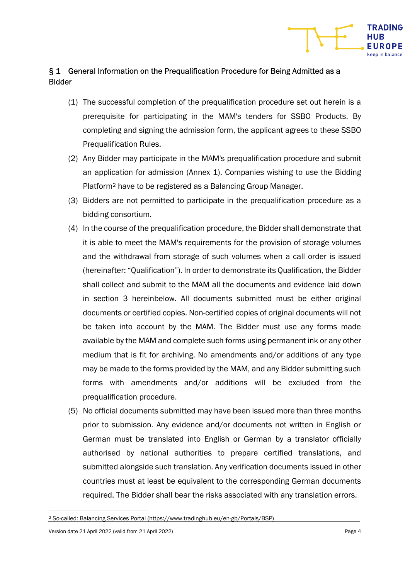## § 1 General Information on the Prequalification Procedure for Being Admitted as a Bidder

- (1) The successful completion of the prequalification procedure set out herein is a prerequisite for participating in the MAM's tenders for SSBO Products. By completing and signing the admission form, the applicant agrees to these SSBO Prequalification Rules.
- (2) Any Bidder may participate in the MAM's prequalification procedure and submit an application for admission (Annex 1). Companies wishing to use the Bidding Platform2 have to be registered as a Balancing Group Manager.
- (3) Bidders are not permitted to participate in the prequalification procedure as a bidding consortium.
- (4) In the course of the prequalification procedure, the Bidder shall demonstrate that it is able to meet the MAM's requirements for the provision of storage volumes and the withdrawal from storage of such volumes when a call order is issued (hereinafter: "Qualification"). In order to demonstrate its Qualification, the Bidder shall collect and submit to the MAM all the documents and evidence laid down in section 3 hereinbelow. All documents submitted must be either original documents or certified copies. Non-certified copies of original documents will not be taken into account by the MAM. The Bidder must use any forms made available by the MAM and complete such forms using permanent ink or any other medium that is fit for archiving. No amendments and/or additions of any type may be made to the forms provided by the MAM, and any Bidder submitting such forms with amendments and/or additions will be excluded from the prequalification procedure.
- (5) No official documents submitted may have been issued more than three months prior to submission. Any evidence and/or documents not written in English or German must be translated into English or German by a translator officially authorised by national authorities to prepare certified translations, and submitted alongside such translation. Any verification documents issued in other countries must at least be equivalent to the corresponding German documents required. The Bidder shall bear the risks associated with any translation errors.

**TRADING** 

UROPE

<sup>2</sup> So-called: Balancing Services Portal (https://www.tradinghub.eu/en-gb/Portals/BSP)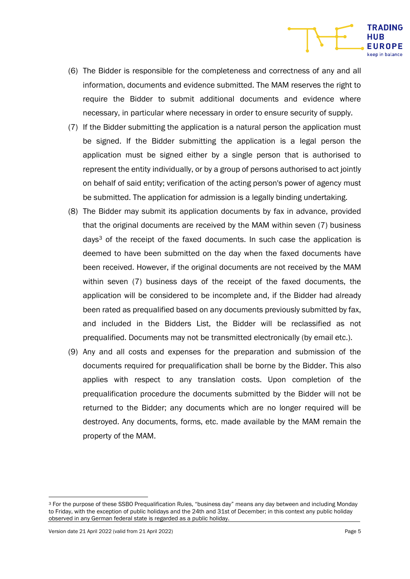- (6) The Bidder is responsible for the completeness and correctness of any and all information, documents and evidence submitted. The MAM reserves the right to require the Bidder to submit additional documents and evidence where necessary, in particular where necessary in order to ensure security of supply.
- (7) If the Bidder submitting the application is a natural person the application must be signed. If the Bidder submitting the application is a legal person the application must be signed either by a single person that is authorised to represent the entity individually, or by a group of persons authorised to act jointly on behalf of said entity; verification of the acting person's power of agency must be submitted. The application for admission is a legally binding undertaking.
- (8) The Bidder may submit its application documents by fax in advance, provided that the original documents are received by the MAM within seven (7) business days3 of the receipt of the faxed documents. In such case the application is deemed to have been submitted on the day when the faxed documents have been received. However, if the original documents are not received by the MAM within seven (7) business days of the receipt of the faxed documents, the application will be considered to be incomplete and, if the Bidder had already been rated as prequalified based on any documents previously submitted by fax, and included in the Bidders List, the Bidder will be reclassified as not prequalified. Documents may not be transmitted electronically (by email etc.).
- (9) Any and all costs and expenses for the preparation and submission of the documents required for prequalification shall be borne by the Bidder. This also applies with respect to any translation costs. Upon completion of the prequalification procedure the documents submitted by the Bidder will not be returned to the Bidder; any documents which are no longer required will be destroyed. Any documents, forms, etc. made available by the MAM remain the property of the MAM.

Version date 21 April 2022 (valid from 21 April 2022) Page 5

**TRADING HUB EUROPE** een in halance

<sup>3</sup> For the purpose of these SSBO Prequalification Rules, "business day" means any day between and including Monday to Friday, with the exception of public holidays and the 24th and 31st of December; in this context any public holiday observed in any German federal state is regarded as a public holiday.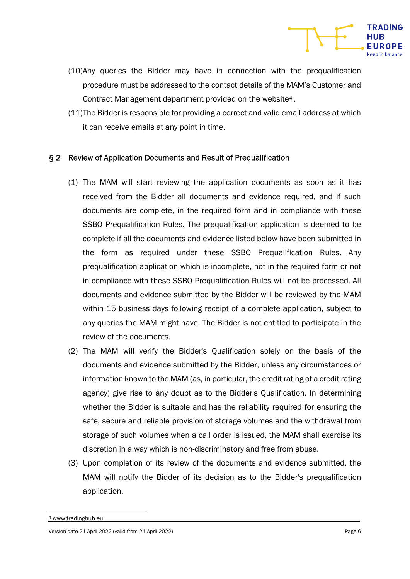

- (10) Any queries the Bidder may have in connection with the prequalification procedure must be addressed to the contact details of the MAM's Customer and Contract Management department provided on the website4 .
- (11) The Bidder is responsible for providing a correct and valid email address at which it can receive emails at any point in time.

### § 2 Review of Application Documents and Result of Prequalification

- (1) The MAM will start reviewing the application documents as soon as it has received from the Bidder all documents and evidence required, and if such documents are complete, in the required form and in compliance with these SSBO Prequalification Rules. The prequalification application is deemed to be complete if all the documents and evidence listed below have been submitted in the form as required under these SSBO Prequalification Rules. Any prequalification application which is incomplete, not in the required form or not in compliance with these SSBO Prequalification Rules will not be processed. All documents and evidence submitted by the Bidder will be reviewed by the MAM within 15 business days following receipt of a complete application, subject to any queries the MAM might have. The Bidder is not entitled to participate in the review of the documents.
- (2) The MAM will verify the Bidder's Qualification solely on the basis of the documents and evidence submitted by the Bidder, unless any circumstances or information known to the MAM (as, in particular, the credit rating of a credit rating agency) give rise to any doubt as to the Bidder's Qualification. In determining whether the Bidder is suitable and has the reliability required for ensuring the safe, secure and reliable provision of storage volumes and the withdrawal from storage of such volumes when a call order is issued, the MAM shall exercise its discretion in a way which is non-discriminatory and free from abuse.
- (3) Upon completion of its review of the documents and evidence submitted, the MAM will notify the Bidder of its decision as to the Bidder's prequalification application.

<sup>4</sup> www.tradinghub.eu

Version date 21 April 2022 (valid from 21 April 2022) Page 6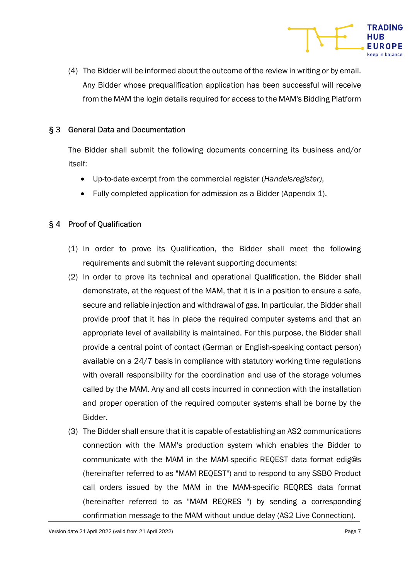

(4) The Bidder will be informed about the outcome of the review in writing or by email. Any Bidder whose prequalification application has been successful will receive from the MAM the login details required for access to the MAM's Bidding Platform

### § 3 General Data and Documentation

The Bidder shall submit the following documents concerning its business and/or itself:

- Up-to-date excerpt from the commercial register (Handelsregister),
- Fully completed application for admission as a Bidder (Appendix 1).

## § 4 Proof of Qualification

- (1) In order to prove its Qualification, the Bidder shall meet the following requirements and submit the relevant supporting documents:
- (2) In order to prove its technical and operational Qualification, the Bidder shall demonstrate, at the request of the MAM, that it is in a position to ensure a safe, secure and reliable injection and withdrawal of gas. In particular, the Bidder shall provide proof that it has in place the required computer systems and that an appropriate level of availability is maintained. For this purpose, the Bidder shall provide a central point of contact (German or English-speaking contact person) available on a 24/7 basis in compliance with statutory working time regulations with overall responsibility for the coordination and use of the storage volumes called by the MAM. Any and all costs incurred in connection with the installation and proper operation of the required computer systems shall be borne by the Bidder.
- (3) The Bidder shall ensure that it is capable of establishing an AS2 communications connection with the MAM's production system which enables the Bidder to communicate with the MAM in the MAM-specific REQEST data format edig@s (hereinafter referred to as "MAM REQEST") and to respond to any SSBO Product call orders issued by the MAM in the MAM-specific REQRES data format (hereinafter referred to as "MAM REQRES ") by sending a corresponding confirmation message to the MAM without undue delay (AS2 Live Connection).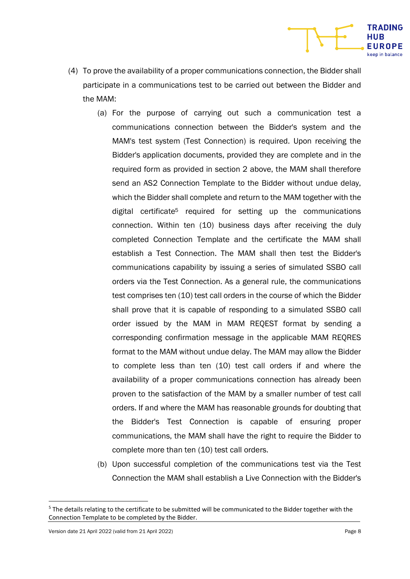- (4) To prove the availability of a proper communications connection, the Bidder shall participate in a communications test to be carried out between the Bidder and the MAM:
	- (a) For the purpose of carrying out such a communication test a communications connection between the Bidder's system and the MAM's test system (Test Connection) is required. Upon receiving the Bidder's application documents, provided they are complete and in the required form as provided in section 2 above, the MAM shall therefore send an AS2 Connection Template to the Bidder without undue delay, which the Bidder shall complete and return to the MAM together with the digital certificate<sup>5</sup> required for setting up the communications connection. Within ten (10) business days after receiving the duly completed Connection Template and the certificate the MAM shall establish a Test Connection. The MAM shall then test the Bidder's communications capability by issuing a series of simulated SSBO call orders via the Test Connection. As a general rule, the communications test comprises ten (10) test call orders in the course of which the Bidder shall prove that it is capable of responding to a simulated SSBO call order issued by the MAM in MAM REQEST format by sending a corresponding confirmation message in the applicable MAM REQRES format to the MAM without undue delay. The MAM may allow the Bidder to complete less than ten (10) test call orders if and where the availability of a proper communications connection has already been proven to the satisfaction of the MAM by a smaller number of test call orders. If and where the MAM has reasonable grounds for doubting that the Bidder's Test Connection is capable of ensuring proper communications, the MAM shall have the right to require the Bidder to complete more than ten (10) test call orders.
	- (b) Upon successful completion of the communications test via the Test Connection the MAM shall establish a Live Connection with the Bidder's

**TRADING** HUB **EUROPE** 

<sup>&</sup>lt;sup>5</sup> The details relating to the certificate to be submitted will be communicated to the Bidder together with the Connection Template to be completed by the Bidder.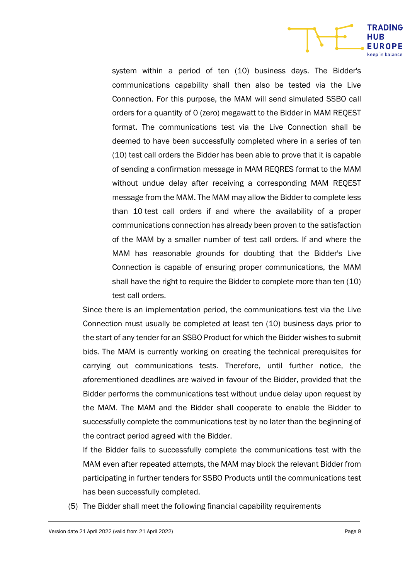

system within a period of ten (10) business days. The Bidder's communications capability shall then also be tested via the Live Connection. For this purpose, the MAM will send simulated SSBO call orders for a quantity of 0 (zero) megawatt to the Bidder in MAM REQEST format. The communications test via the Live Connection shall be deemed to have been successfully completed where in a series of ten (10) test call orders the Bidder has been able to prove that it is capable of sending a confirmation message in MAM REQRES format to the MAM without undue delay after receiving a corresponding MAM REQEST message from the MAM. The MAM may allow the Bidder to complete less than 10 test call orders if and where the availability of a proper communications connection has already been proven to the satisfaction of the MAM by a smaller number of test call orders. If and where the MAM has reasonable grounds for doubting that the Bidder's Live Connection is capable of ensuring proper communications, the MAM shall have the right to require the Bidder to complete more than ten (10) test call orders.

Since there is an implementation period, the communications test via the Live Connection must usually be completed at least ten (10) business days prior to the start of any tender for an SSBO Product for which the Bidder wishes to submit bids. The MAM is currently working on creating the technical prerequisites for carrying out communications tests. Therefore, until further notice, the aforementioned deadlines are waived in favour of the Bidder, provided that the Bidder performs the communications test without undue delay upon request by the MAM. The MAM and the Bidder shall cooperate to enable the Bidder to successfully complete the communications test by no later than the beginning of the contract period agreed with the Bidder.

If the Bidder fails to successfully complete the communications test with the MAM even after repeated attempts, the MAM may block the relevant Bidder from participating in further tenders for SSBO Products until the communications test has been successfully completed.

(5) The Bidder shall meet the following financial capability requirements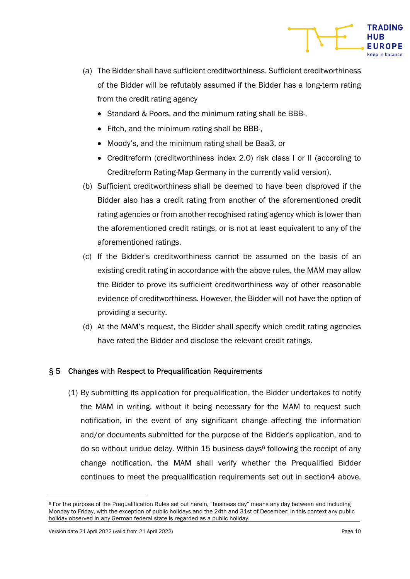

- (a) The Bidder shall have sufficient creditworthiness. Sufficient creditworthiness of the Bidder will be refutably assumed if the Bidder has a long-term rating from the credit rating agency
	- Standard & Poors, and the minimum rating shall be BBB-,
	- Fitch, and the minimum rating shall be BBB-,
	- Moody's, and the minimum rating shall be Baa3, or
	- Creditreform (creditworthiness index 2.0) risk class I or II (according to Creditreform Rating-Map Germany in the currently valid version).
- (b) Sufficient creditworthiness shall be deemed to have been disproved if the Bidder also has a credit rating from another of the aforementioned credit rating agencies or from another recognised rating agency which is lower than the aforementioned credit ratings, or is not at least equivalent to any of the aforementioned ratings.
- (c) If the Bidder's creditworthiness cannot be assumed on the basis of an existing credit rating in accordance with the above rules, the MAM may allow the Bidder to prove its sufficient creditworthiness way of other reasonable evidence of creditworthiness. However, the Bidder will not have the option of providing a security.
- (d) At the MAM's request, the Bidder shall specify which credit rating agencies have rated the Bidder and disclose the relevant credit ratings.

### § 5 Changes with Respect to Prequalification Requirements

(1) By submitting its application for prequalification, the Bidder undertakes to notify the MAM in writing, without it being necessary for the MAM to request such notification, in the event of any significant change affecting the information and/or documents submitted for the purpose of the Bidder's application, and to do so without undue delay. Within 15 business days<sup>6</sup> following the receipt of any change notification, the MAM shall verify whether the Prequalified Bidder continues to meet the prequalification requirements set out in section4 above.

<sup>6</sup> For the purpose of the Prequalification Rules set out herein, "business day" means any day between and including Monday to Friday, with the exception of public holidays and the 24th and 31st of December; in this context any public holiday observed in any German federal state is regarded as a public holiday.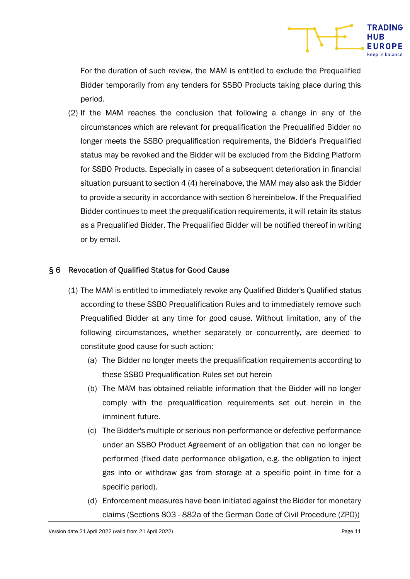

For the duration of such review, the MAM is entitled to exclude the Prequalified Bidder temporarily from any tenders for SSBO Products taking place during this period.

(2) If the MAM reaches the conclusion that following a change in any of the circumstances which are relevant for prequalification the Prequalified Bidder no longer meets the SSBO prequalification requirements, the Bidder's Prequalified status may be revoked and the Bidder will be excluded from the Bidding Platform for SSBO Products. Especially in cases of a subsequent deterioration in financial situation pursuant to section 4 (4) hereinabove, the MAM may also ask the Bidder to provide a security in accordance with section 6 hereinbelow. If the Prequalified Bidder continues to meet the prequalification requirements, it will retain its status as a Prequalified Bidder. The Prequalified Bidder will be notified thereof in writing or by email.

### § 6 Revocation of Qualified Status for Good Cause

- (1) The MAM is entitled to immediately revoke any Qualified Bidder's Qualified status according to these SSBO Prequalification Rules and to immediately remove such Prequalified Bidder at any time for good cause. Without limitation, any of the following circumstances, whether separately or concurrently, are deemed to constitute good cause for such action:
	- (a) The Bidder no longer meets the prequalification requirements according to these SSBO Prequalification Rules set out herein
	- (b) The MAM has obtained reliable information that the Bidder will no longer comply with the prequalification requirements set out herein in the imminent future.
	- (c) The Bidder's multiple or serious non-performance or defective performance under an SSBO Product Agreement of an obligation that can no longer be performed (fixed date performance obligation, e.g. the obligation to inject gas into or withdraw gas from storage at a specific point in time for a specific period).
	- (d) Enforcement measures have been initiated against the Bidder for monetary claims (Sections 803 - 882a of the German Code of Civil Procedure (ZPO))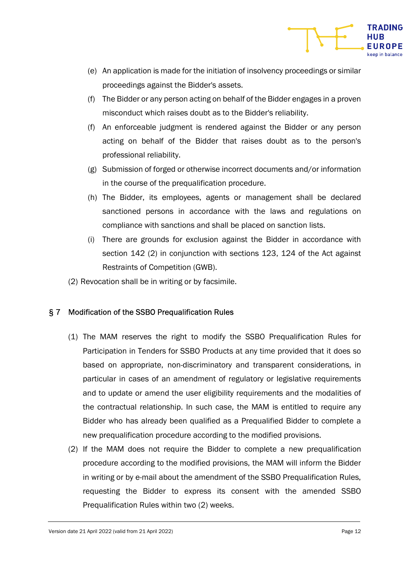

- (e) An application is made for the initiation of insolvency proceedings or similar proceedings against the Bidder's assets.
- (f) The Bidder or any person acting on behalf of the Bidder engages in a proven misconduct which raises doubt as to the Bidder's reliability.
- (f) An enforceable judgment is rendered against the Bidder or any person acting on behalf of the Bidder that raises doubt as to the person's professional reliability.
- (g) Submission of forged or otherwise incorrect documents and/or information in the course of the prequalification procedure.
- (h) The Bidder, its employees, agents or management shall be declared sanctioned persons in accordance with the laws and regulations on compliance with sanctions and shall be placed on sanction lists.
- (i) There are grounds for exclusion against the Bidder in accordance with section 142 (2) in conjunction with sections 123, 124 of the Act against Restraints of Competition (GWB).
- (2) Revocation shall be in writing or by facsimile.

## § 7 Modification of the SSBO Prequalification Rules

- (1) The MAM reserves the right to modify the SSBO Prequalification Rules for Participation in Tenders for SSBO Products at any time provided that it does so based on appropriate, non-discriminatory and transparent considerations, in particular in cases of an amendment of regulatory or legislative requirements and to update or amend the user eligibility requirements and the modalities of the contractual relationship. In such case, the MAM is entitled to require any Bidder who has already been qualified as a Prequalified Bidder to complete a new prequalification procedure according to the modified provisions.
- (2) If the MAM does not require the Bidder to complete a new prequalification procedure according to the modified provisions, the MAM will inform the Bidder in writing or by e-mail about the amendment of the SSBO Prequalification Rules, requesting the Bidder to express its consent with the amended SSBO Prequalification Rules within two (2) weeks.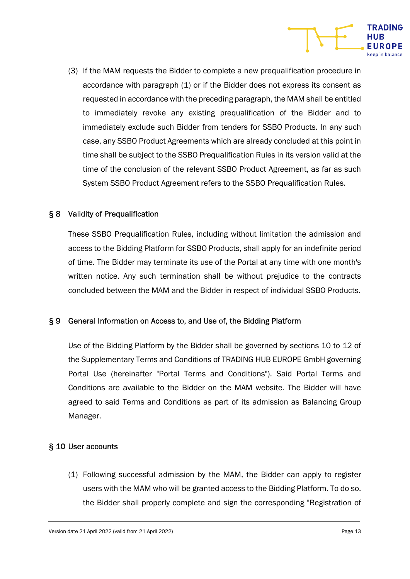

(3) If the MAM requests the Bidder to complete a new prequalification procedure in accordance with paragraph (1) or if the Bidder does not express its consent as requested in accordance with the preceding paragraph, the MAM shall be entitled to immediately revoke any existing prequalification of the Bidder and to immediately exclude such Bidder from tenders for SSBO Products. In any such case, any SSBO Product Agreements which are already concluded at this point in time shall be subject to the SSBO Prequalification Rules in its version valid at the time of the conclusion of the relevant SSBO Product Agreement, as far as such System SSBO Product Agreement refers to the SSBO Prequalification Rules.

### § 8 Validity of Prequalification

These SSBO Prequalification Rules, including without limitation the admission and access to the Bidding Platform for SSBO Products, shall apply for an indefinite period of time. The Bidder may terminate its use of the Portal at any time with one month's written notice. Any such termination shall be without prejudice to the contracts concluded between the MAM and the Bidder in respect of individual SSBO Products.

### § 9 General Information on Access to, and Use of, the Bidding Platform

Use of the Bidding Platform by the Bidder shall be governed by sections 10 to 12 of the Supplementary Terms and Conditions of TRADING HUB EUROPE GmbH governing Portal Use (hereinafter "Portal Terms and Conditions"). Said Portal Terms and Conditions are available to the Bidder on the MAM website. The Bidder will have agreed to said Terms and Conditions as part of its admission as Balancing Group Manager.

#### § 10 User accounts

(1) Following successful admission by the MAM, the Bidder can apply to register users with the MAM who will be granted access to the Bidding Platform. To do so, the Bidder shall properly complete and sign the corresponding "Registration of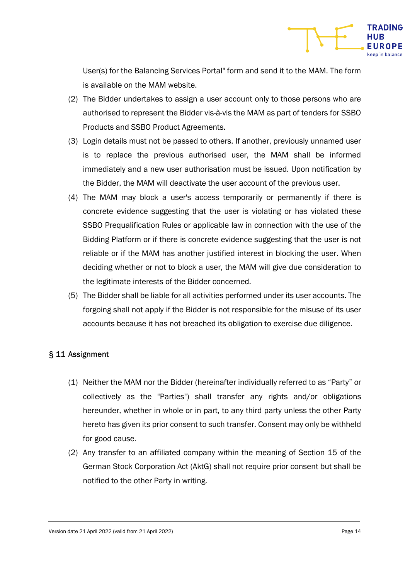

User(s) for the Balancing Services Portal" form and send it to the MAM. The form is available on the MAM website.

- (2) The Bidder undertakes to assign a user account only to those persons who are authorised to represent the Bidder vis-à-vis the MAM as part of tenders for SSBO Products and SSBO Product Agreements.
- (3) Login details must not be passed to others. If another, previously unnamed user is to replace the previous authorised user, the MAM shall be informed immediately and a new user authorisation must be issued. Upon notification by the Bidder, the MAM will deactivate the user account of the previous user.
- (4) The MAM may block a user's access temporarily or permanently if there is concrete evidence suggesting that the user is violating or has violated these SSBO Prequalification Rules or applicable law in connection with the use of the Bidding Platform or if there is concrete evidence suggesting that the user is not reliable or if the MAM has another justified interest in blocking the user. When deciding whether or not to block a user, the MAM will give due consideration to the legitimate interests of the Bidder concerned.
- (5) The Bidder shall be liable for all activities performed under its user accounts. The forgoing shall not apply if the Bidder is not responsible for the misuse of its user accounts because it has not breached its obligation to exercise due diligence.

### § 11 Assignment

- (1) Neither the MAM nor the Bidder (hereinafter individually referred to as "Party" or collectively as the "Parties") shall transfer any rights and/or obligations hereunder, whether in whole or in part, to any third party unless the other Party hereto has given its prior consent to such transfer. Consent may only be withheld for good cause.
- (2) Any transfer to an affiliated company within the meaning of Section 15 of the German Stock Corporation Act (AktG) shall not require prior consent but shall be notified to the other Party in writing.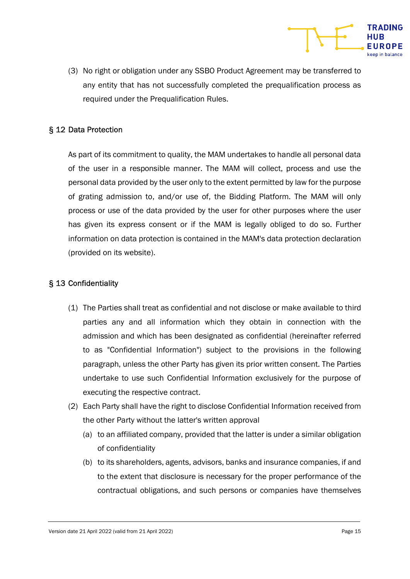

#### § 12 Data Protection

As part of its commitment to quality, the MAM undertakes to handle all personal data of the user in a responsible manner. The MAM will collect, process and use the personal data provided by the user only to the extent permitted by law for the purpose of grating admission to, and/or use of, the Bidding Platform. The MAM will only process or use of the data provided by the user for other purposes where the user has given its express consent or if the MAM is legally obliged to do so. Further information on data protection is contained in the MAM's data protection declaration (provided on its website).

#### § 13 Confidentiality

- (1) The Parties shall treat as confidential and not disclose or make available to third parties any and all information which they obtain in connection with the admission and which has been designated as confidential (hereinafter referred to as "Confidential Information") subject to the provisions in the following paragraph, unless the other Party has given its prior written consent. The Parties undertake to use such Confidential Information exclusively for the purpose of executing the respective contract.
- (2) Each Party shall have the right to disclose Confidential Information received from the other Party without the latter's written approval
	- (a) to an affiliated company, provided that the latter is under a similar obligation of confidentiality
	- (b) to its shareholders, agents, advisors, banks and insurance companies, if and to the extent that disclosure is necessary for the proper performance of the contractual obligations, and such persons or companies have themselves

**TRADING** 

UROPE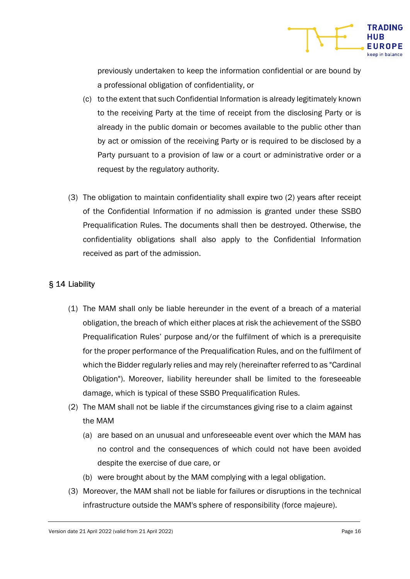

previously undertaken to keep the information confidential or are bound by a professional obligation of confidentiality, or

- (c) to the extent that such Confidential Information is already legitimately known to the receiving Party at the time of receipt from the disclosing Party or is already in the public domain or becomes available to the public other than by act or omission of the receiving Party or is required to be disclosed by a Party pursuant to a provision of law or a court or administrative order or a request by the regulatory authority.
- (3) The obligation to maintain confidentiality shall expire two (2) years after receipt of the Confidential Information if no admission is granted under these SSBO Prequalification Rules. The documents shall then be destroyed. Otherwise, the confidentiality obligations shall also apply to the Confidential Information received as part of the admission.

### § 14 Liability

- (1) The MAM shall only be liable hereunder in the event of a breach of a material obligation, the breach of which either places at risk the achievement of the SSBO Prequalification Rules' purpose and/or the fulfilment of which is a prerequisite for the proper performance of the Prequalification Rules, and on the fulfilment of which the Bidder regularly relies and may rely (hereinafter referred to as "Cardinal Obligation"). Moreover, liability hereunder shall be limited to the foreseeable damage, which is typical of these SSBO Prequalification Rules.
- (2) The MAM shall not be liable if the circumstances giving rise to a claim against the MAM
	- (a) are based on an unusual and unforeseeable event over which the MAM has no control and the consequences of which could not have been avoided despite the exercise of due care, or
	- (b) were brought about by the MAM complying with a legal obligation.
- (3) Moreover, the MAM shall not be liable for failures or disruptions in the technical infrastructure outside the MAM's sphere of responsibility (force majeure).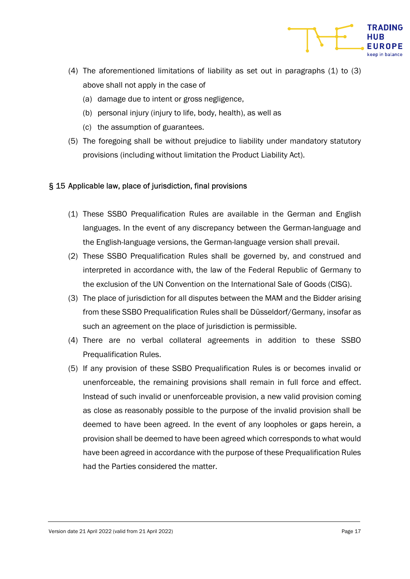

- (4) The aforementioned limitations of liability as set out in paragraphs (1) to (3) above shall not apply in the case of
	- (a) damage due to intent or gross negligence,
	- (b) personal injury (injury to life, body, health), as well as
	- (c) the assumption of guarantees.
- (5) The foregoing shall be without prejudice to liability under mandatory statutory provisions (including without limitation the Product Liability Act).

### § 15 Applicable law, place of jurisdiction, final provisions

- (1) These SSBO Prequalification Rules are available in the German and English languages. In the event of any discrepancy between the German-language and the English-language versions, the German-language version shall prevail.
- (2) These SSBO Prequalification Rules shall be governed by, and construed and interpreted in accordance with, the law of the Federal Republic of Germany to the exclusion of the UN Convention on the International Sale of Goods (CISG).
- (3) The place of jurisdiction for all disputes between the MAM and the Bidder arising from these SSBO Prequalification Rules shall be Düsseldorf/Germany, insofar as such an agreement on the place of jurisdiction is permissible.
- (4) There are no verbal collateral agreements in addition to these SSBO Prequalification Rules.
- (5) If any provision of these SSBO Prequalification Rules is or becomes invalid or unenforceable, the remaining provisions shall remain in full force and effect. Instead of such invalid or unenforceable provision, a new valid provision coming as close as reasonably possible to the purpose of the invalid provision shall be deemed to have been agreed. In the event of any loopholes or gaps herein, a provision shall be deemed to have been agreed which corresponds to what would have been agreed in accordance with the purpose of these Prequalification Rules had the Parties considered the matter.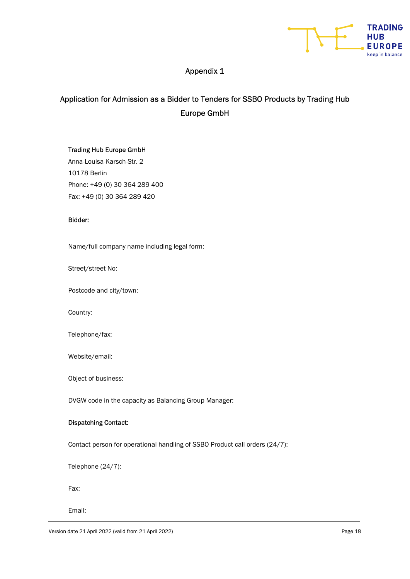

## Appendix 1

## Application for Admission as a Bidder to Tenders for SSBO Products by Trading Hub Europe GmbH

#### Trading Hub Europe GmbH

Anna-Louisa-Karsch-Str. 2 10178 Berlin Phone: +49 (0) 30 364 289 400 Fax: +49 (0) 30 364 289 420

#### Bidder:

Name/full company name including legal form:

Street/street No:

Postcode and city/town:

Country:

Telephone/fax:

Website/email:

Object of business:

DVGW code in the capacity as Balancing Group Manager:

#### Dispatching Contact:

Contact person for operational handling of SSBO Product call orders (24/7):

Telephone (24/7):

Fax:

Email: